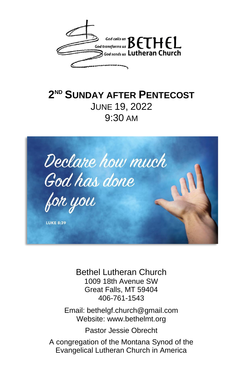

## **2 ND SUNDAY AFTER PENTECOST** JUNE 19, 2022 9:30 AM



Bethel Lutheran Church 1009 18th Avenue SW Great Falls, MT 59404 406-761-1543

Email: bethelgf.church@gmail.com Website: www.bethelmt.org

Pastor Jessie Obrecht

A congregation of the Montana Synod of the Evangelical Lutheran Church in America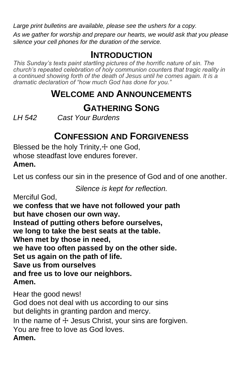*Large print bulletins are available, please see the ushers for a copy.*

*As we gather for worship and prepare our hearts, we would ask that you please silence your cell phones for the duration of the service.*

#### **INTRODUCTION**

*This Sunday's texts paint startling pictures of the horrific nature of sin. The church's repeated celebration of holy communion counters that tragic reality in a continued showing forth of the death of Jesus until he comes again. It is a dramatic declaration of "how much God has done for you."*

#### **WELCOME AND ANNOUNCEMENTS**

## **GATHERING SONG**

*LH 542 Cast Your Burdens*

### **CONFESSION AND FORGIVENESS**

Blessed be the holy  $T$ rinity, $+$  one God, whose steadfast love endures forever. **Amen.**

Let us confess our sin in the presence of God and of one another.

*Silence is kept for reflection.*

Merciful God, **we confess that we have not followed your path but have chosen our own way. Instead of putting others before ourselves, we long to take the best seats at the table. When met by those in need, we have too often passed by on the other side. Set us again on the path of life. Save us from ourselves and free us to love our neighbors. Amen.**

Hear the good news! God does not deal with us according to our sins but delights in granting pardon and mercy. In the name of  $\pm$  Jesus Christ, your sins are forgiven. You are free to love as God loves. **Amen.**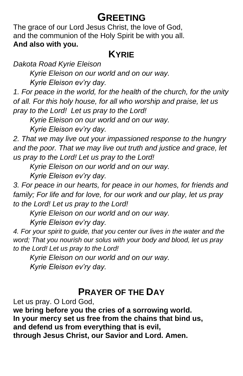## **GREETING**

The grace of our Lord Jesus Christ, the love of God, and the communion of the Holy Spirit be with you all. **And also with you.**

#### **KYRIE**

*Dakota Road Kyrie Eleison*

*Kyrie Eleison on our world and on our way. Kyrie Eleison ev'ry day.*

*1. For peace in the world, for the health of the church, for the unity of all. For this holy house, for all who worship and praise, let us pray to the Lord! Let us pray to the Lord!*

*Kyrie Eleison on our world and on our way.*

*Kyrie Eleison ev'ry day.*

*2. That we may live out your impassioned response to the hungry and the poor. That we may live out truth and justice and grace, let us pray to the Lord! Let us pray to the Lord!*

*Kyrie Eleison on our world and on our way.*

*Kyrie Eleison ev'ry day.*

*3. For peace in our hearts, for peace in our homes, for friends and family; For life and for love, for our work and our play, let us pray to the Lord! Let us pray to the Lord!*

*Kyrie Eleison on our world and on our way.*

*Kyrie Eleison ev'ry day.*

*4. For your spirit to guide, that you center our lives in the water and the word; That you nourish our solus with your body and blood, let us pray to the Lord! Let us pray to the Lord!*

*Kyrie Eleison on our world and on our way. Kyrie Eleison ev'ry day.*

#### **PRAYER OF THE DAY**

Let us pray. O Lord God,

**we bring before you the cries of a sorrowing world. In your mercy set us free from the chains that bind us, and defend us from everything that is evil, through Jesus Christ, our Savior and Lord. Amen.**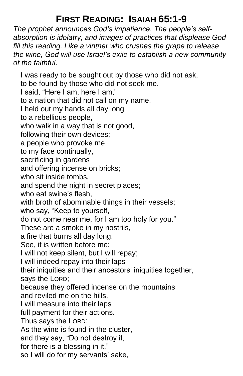## **FIRST READING: ISAIAH 65:1-9**

*The prophet announces God's impatience. The people's selfabsorption is idolatry, and images of practices that displease God fill this reading. Like a vintner who crushes the grape to release the wine, God will use Israel's exile to establish a new community of the faithful.*

I was ready to be sought out by those who did not ask, to be found by those who did not seek me. I said, "Here I am, here I am," to a nation that did not call on my name. I held out my hands all day long to a rebellious people, who walk in a way that is not good, following their own devices; a people who provoke me to my face continually, sacrificing in gardens and offering incense on bricks; who sit inside tombs, and spend the night in secret places; who eat swine's flesh, with broth of abominable things in their vessels; who say, "Keep to yourself, do not come near me, for I am too holy for you." These are a smoke in my nostrils, a fire that burns all day long. See, it is written before me: I will not keep silent, but I will repay; I will indeed repay into their laps their iniquities and their ancestors' iniquities together, says the LORD; because they offered incense on the mountains and reviled me on the hills, I will measure into their laps full payment for their actions. Thus says the LORD: As the wine is found in the cluster, and they say, "Do not destroy it, for there is a blessing in it," so I will do for my servants' sake,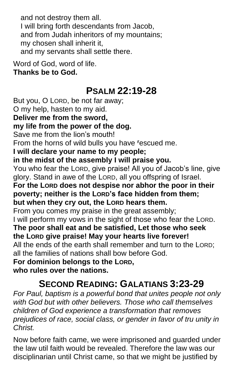and not destroy them all. I will bring forth descendants from Jacob, and from Judah inheritors of my mountains; my chosen shall inherit it, and my servants shall settle there.

Word of God, word of life. **Thanks be to God.**

#### **PSALM 22:19-28**

But you, O LORD, be not far away; O my help, hasten to my aid. **Deliver me from the sword, my life from the power of the dog.** Save me from the lion's mouth! From the horns of wild bulls you have **<sup>r</sup>**escued me. **I will declare your name to my people; in the midst of the assembly I will praise you.** You who fear the LORD, give praise! All you of Jacob's line, give glory. Stand in awe of the LORD, all you offspring of Israel. **For the LORD does not despise nor abhor the poor in their poverty; neither is the LORD's face hidden from them; but when they cry out, the LORD hears them.** From you comes my praise in the great assembly; I will perform my vows in the sight of those who fear the LORD. **The poor shall eat and be satisfied, Let those who seek the LORD give praise! May your hearts live forever!** All the ends of the earth shall remember and turn to the LORD; all the families of nations shall bow before God. **For dominion belongs to the LORD, who rules over the nations.**

## **SECOND READING: GALATIANS 3:23-29**

*For Paul, baptism is a powerful bond that unites people not only with God but with other believers. Those who call themselves children of God experience a transformation that removes prejudices of race, social class, or gender in favor of tru unity in Christ.*

Now before faith came, we were imprisoned and guarded under the law util faith would be revealed. Therefore the law was our disciplinarian until Christ came, so that we might be justified by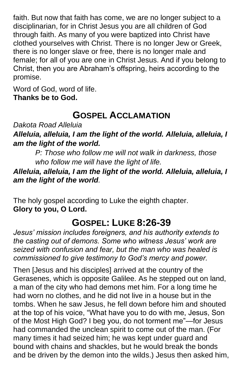faith. But now that faith has come, we are no longer subject to a disciplinarian, for in Christ Jesus you are all children of God through faith. As many of you were baptized into Christ have clothed yourselves with Christ. There is no longer Jew or Greek, there is no longer slave or free, there is no longer male and female; for all of you are one in Christ Jesus. And if you belong to Christ, then you are Abraham's offspring, heirs according to the promise.

Word of God, word of life. **Thanks be to God.**

## **GOSPEL ACCLAMATION**

*Dakota Road Alleluia*

*Alleluia, alleluia, I am the light of the world. Alleluia, alleluia, I am the light of the world.*

*P: Those who follow me will not walk in darkness, those who follow me will have the light of life.*

*Alleluia, alleluia, I am the light of the world. Alleluia, alleluia, I am the light of the world.*

The holy gospel according to Luke the eighth chapter. **Glory to you, O Lord.**

## **GOSPEL: LUKE 8:26-39**

*Jesus' mission includes foreigners, and his authority extends to the casting out of demons. Some who witness Jesus' work are seized with confusion and fear, but the man who was healed is commissioned to give testimony to God's mercy and power.*

Then [Jesus and his disciples] arrived at the country of the Gerasenes, which is opposite Galilee. As he stepped out on land, a man of the city who had demons met him. For a long time he had worn no clothes, and he did not live in a house but in the tombs. When he saw Jesus, he fell down before him and shouted at the top of his voice, "What have you to do with me, Jesus, Son of the Most High God? I beg you, do not torment me"—for Jesus had commanded the unclean spirit to come out of the man. (For many times it had seized him; he was kept under guard and bound with chains and shackles, but he would break the bonds and be driven by the demon into the wilds.) Jesus then asked him,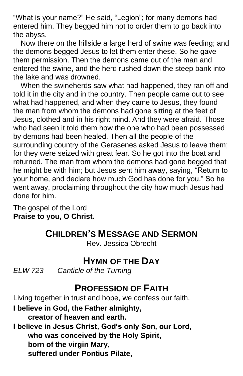"What is your name?" He said, "Legion"; for many demons had entered him. They begged him not to order them to go back into the abyss.

Now there on the hillside a large herd of swine was feeding; and the demons begged Jesus to let them enter these. So he gave them permission. Then the demons came out of the man and entered the swine, and the herd rushed down the steep bank into the lake and was drowned.

When the swineherds saw what had happened, they ran off and told it in the city and in the country. Then people came out to see what had happened, and when they came to Jesus, they found the man from whom the demons had gone sitting at the feet of Jesus, clothed and in his right mind. And they were afraid. Those who had seen it told them how the one who had been possessed by demons had been healed. Then all the people of the surrounding country of the Gerasenes asked Jesus to leave them; for they were seized with great fear. So he got into the boat and returned. The man from whom the demons had gone begged that he might be with him; but Jesus sent him away, saying, "Return to your home, and declare how much God has done for you." So he went away, proclaiming throughout the city how much Jesus had done for him.

The gospel of the Lord **Praise to you, O Christ.**

### **CHILDREN'S MESSAGE AND SERMON**

Rev. Jessica Obrecht

### **HYMN OF THE DAY**

*ELW 723 Canticle of the Turning*

### **PROFESSION OF FAITH**

Living together in trust and hope, we confess our faith.

**I believe in God, the Father almighty,**

**creator of heaven and earth.**

**I believe in Jesus Christ, God's only Son, our Lord, who was conceived by the Holy Spirit, born of the virgin Mary, suffered under Pontius Pilate,**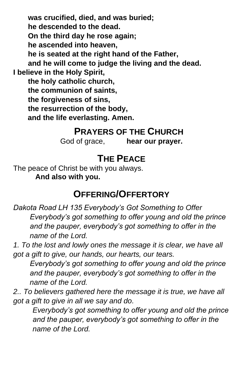**was crucified, died, and was buried; he descended to the dead. On the third day he rose again; he ascended into heaven, he is seated at the right hand of the Father, and he will come to judge the living and the dead. I believe in the Holy Spirit, the holy catholic church, the communion of saints, the forgiveness of sins, the resurrection of the body, and the life everlasting. Amen.** 

#### **PRAYERS OF THE CHURCH**

God of grace, **hear our prayer.**

### **THE PEACE**

The peace of Christ be with you always. **And also with you.**

#### **OFFERING/OFFERTORY**

*Dakota Road LH 135 Everybody's Got Something to Offer Everybody's got something to offer young and old the prince and the pauper, everybody's got something to offer in the name of the Lord.*

*1. To the lost and lowly ones the message it is clear, we have all got a gift to give, our hands, our hearts, our tears.*

*Everybody's got something to offer young and old the prince and the pauper, everybody's got something to offer in the name of the Lord.*

*2.. To believers gathered here the message it is true, we have all got a gift to give in all we say and do.*

*Everybody's got something to offer young and old the prince and the pauper, everybody's got something to offer in the name of the Lord.*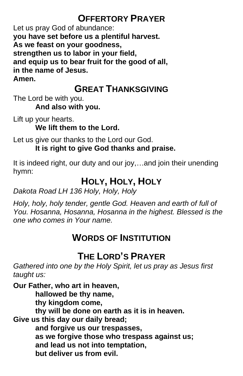## **OFFERTORY PRAYER**

Let us pray God of abundance: **you have set before us a plentiful harvest. As we feast on your goodness, strengthen us to labor in your field, and equip us to bear fruit for the good of all, in the name of Jesus. Amen.**

## **GREAT THANKSGIVING**

The Lord be with you.

**And also with you.**

Lift up your hearts. **We lift them to the Lord.**

Let us give our thanks to the Lord our God. **It is right to give God thanks and praise.**

It is indeed right, our duty and our joy,…and join their unending hymn:

## **HOLY, HOLY, HOLY**

*Dakota Road LH 136 Holy, Holy, Holy*

*Holy, holy, holy tender, gentle God. Heaven and earth of full of You. Hosanna, Hosanna, Hosanna in the highest. Blessed is the one who comes in Your name.*

## **WORDS OF INSTITUTION**

## **THE LORD'S PRAYER**

*Gathered into one by the Holy Spirit, let us pray as Jesus first taught us:*

**Our Father, who art in heaven, hallowed be thy name, thy kingdom come, thy will be done on earth as it is in heaven. Give us this day our daily bread; and forgive us our trespasses, as we forgive those who trespass against us; and lead us not into temptation, but deliver us from evil.**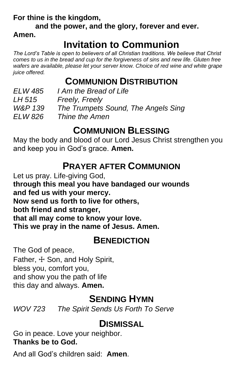**For thine is the kingdom,**

**and the power, and the glory, forever and ever.** 

**Amen.**

# **Invitation to Communion**

*The Lord's Table is open to believers of all Christian traditions. We believe that Christ comes to us in the bread and cup for the forgiveness of sins and new life. Gluten free wafers are available, please let your server know. Choice of red wine and white grape juice offered.* 

## **COMMUNION DISTRIBUTION**

*ELW 485 I Am the Bread of Life LH 515 Freely, Freely W&P 139 The Trumpets Sound, The Angels Sing ELW 826 Thine the Amen*

### **COMMUNION BLESSING**

May the body and blood of our Lord Jesus Christ strengthen you and keep you in God's grace. **Amen.**

## **PRAYER AFTER COMMUNION**

Let us pray. Life-giving God,

**through this meal you have bandaged our wounds**

**and fed us with your mercy.**

**Now send us forth to live for others,**

**both friend and stranger,**

**that all may come to know your love.**

**This we pray in the name of Jesus. Amen.**

#### **BENEDICTION**

The God of peace, Father,  $\pm$  Son, and Holy Spirit, bless you, comfort you, and show you the path of life this day and always. **Amen.**

### **SENDING HYMN**

*WOV 723 The Spirit Sends Us Forth To Serve*

## **DISMISSAL**

Go in peace. Love your neighbor. **Thanks be to God.**

And all God's children said: **Amen**.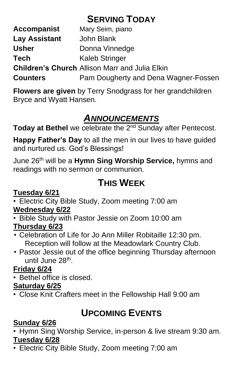## **SERVING TODAY**

| <b>Accompanist</b> | Mary Seim, piano                                      |
|--------------------|-------------------------------------------------------|
| Lay Assistant      | John Blank                                            |
| <b>Usher</b>       | Donna Vinnedge                                        |
| Tech               | <b>Kaleb Stringer</b>                                 |
|                    | <b>Children's Church Allison Marr and Julia Elkin</b> |
| <b>Counters</b>    | Pam Dougherty and Dena Wagner-Fossen                  |

**Flowers are given** by Terry Snodgrass for her grandchildren Bryce and Wyatt Hansen.

## *ANNOUNCEMENTS*

Today at Bethel we celebrate the 2<sup>nd</sup> Sunday after Pentecost.

**Happy Father's Day** to all the men in our lives to have guided and nurtured us. God's Blessings!

June 26th will be a **Hymn Sing Worship Service,** hymns and readings with no sermon or communion.

# **THIS WEEK**

#### **Tuesday 6/21**

• Electric City Bible Study, Zoom meeting 7:00 am **Wednesday 6/22**

• Bible Study with Pastor Jessie on Zoom 10:00 am

#### **Thursday 6/23**

- Celebration of Life for Jo Ann Miller Robitaille 12:30 pm. Reception will follow at the Meadowlark Country Club.
- Pastor Jessie out of the office beginning Thursday afternoon until June 28<sup>th</sup>.

#### **Friday 6/24**

• Bethel office is closed.

#### **Saturday 6/25**

• Close Knit Crafters meet in the Fellowship Hall 9:00 am

## **UPCOMING EVENTS**

#### **Sunday 6/26**

• Hymn Sing Worship Service, in-person & live stream 9:30 am. **Tuesday 6/28**

• Electric City Bible Study, Zoom meeting 7:00 am